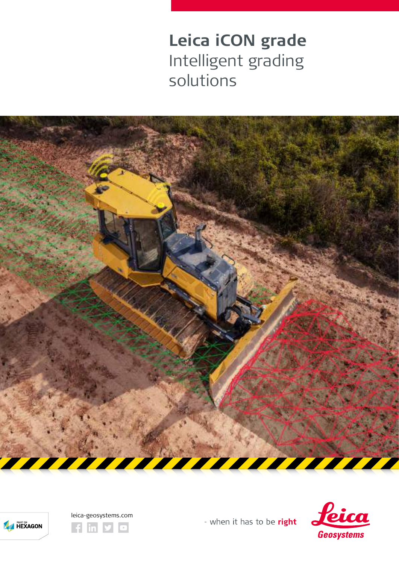**Leica iCON grade** Intelligent grading solutions







- when it has to be right

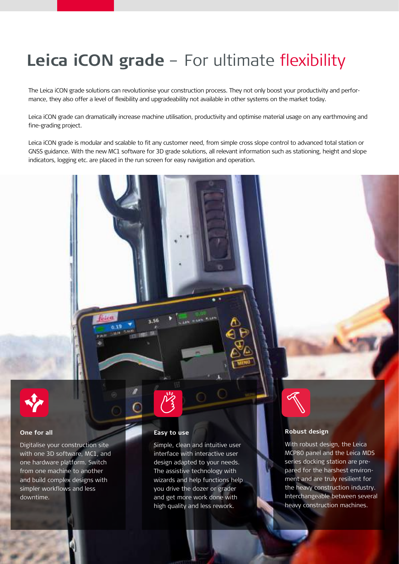# **Leica iCON grade** – For ultimate flexibility

The Leica iCON grade solutions can revolutionise your construction process. They not only boost your productivity and performance, they also offer a level of flexibility and upgradeability not available in other systems on the market today.

Leica iCON grade can dramatically increase machine utilisation, productivity and optimise material usage on any earthmoving and fine-grading project.

Leica iCON grade is modular and scalable to fit any customer need, from simple cross slope control to advanced total station or GNSS guidance. With the new MC1 software for 3D grade solutions, all relevant information such as stationing, height and slope indicators, logging etc. are placed in the run screen for easy navigation and operation.



### **One for all**

Digitalise your construction site with one 3D software, MC1, and one hardware platform. Switch from one machine to another and build complex designs with simpler workflows and less downtime.

#### **Easy to use**

Simple, clean and intuitive user interface with interactive user design adapted to your needs. The assistive technology with wizards and help functions help you drive the dozer or grader and get more work done with high quality and less rework.



### **Robust design**

With robust design, the Leica MCP80 panel and the Leica MDS series docking station are prepared for the harshest environment and are truly resilient for the heavy construction industry. Interchangeable between several heavy construction machines.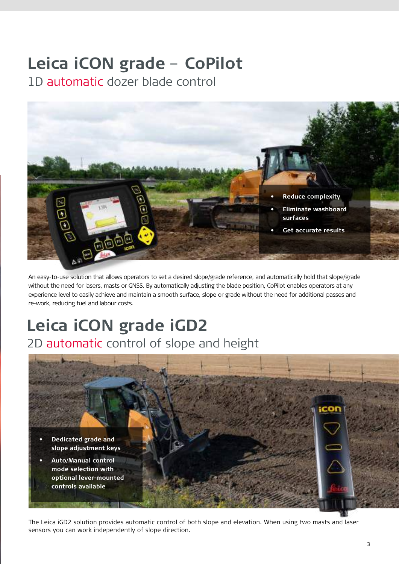# **Leica iCON grade** – **CoPilot**

1D automatic dozer blade control



An easy-to-use solution that allows operators to set a desired slope/grade reference, and automatically hold that slope/grade without the need for lasers, masts or GNSS. By automatically adjusting the blade position, CoPilot enables operators at any experience level to easily achieve and maintain a smooth surface, slope or grade without the need for additional passes and re-work, reducing fuel and labour costs.

## **Leica iCON grade iGD2** 2D automatic control of slope and height



The Leica iGD2 solution provides automatic control of both slope and elevation. When using two masts and laser sensors you can work independently of slope direction.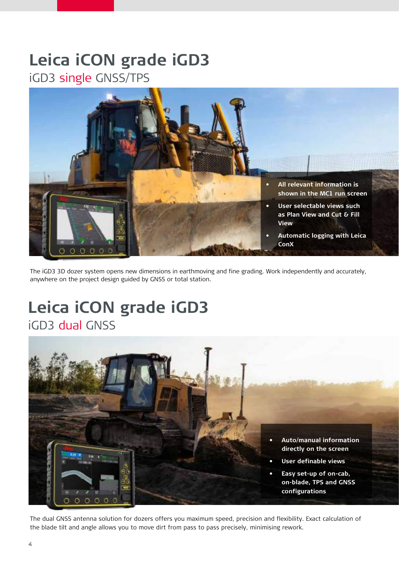### **Leica iCON grade iGD3** iGD3 single GNSS/TPS



The iGD3 3D dozer system opens new dimensions in earthmoving and fine grading. Work independently and accurately, anywhere on the project design guided by GNSS or total station.

## **Leica iCON grade iGD3** iGD3 dual GNSS



The dual GNSS antenna solution for dozers offers you maximum speed, precision and flexibility. Exact calculation of the blade tilt and angle allows you to move dirt from pass to pass precisely, minimising rework.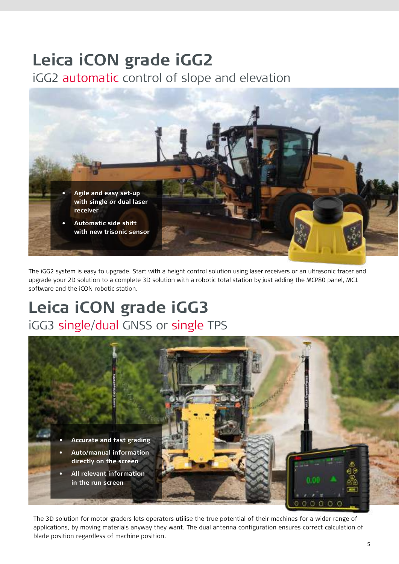## **Leica iCON grade iGG2**

iGG2 automatic control of slope and elevation



The iGG2 system is easy to upgrade. Start with a height control solution using laser receivers or an ultrasonic tracer and upgrade your 2D solution to a complete 3D solution with a robotic total station by just adding the MCP80 panel, MC1 software and the iCON robotic station.

## **Leica iCON grade iGG3**  iGG3 single/dual GNSS or single TPS



The 3D solution for motor graders lets operators utilise the true potential of their machines for a wider range of applications, by moving materials anyway they want. The dual antenna configuration ensures correct calculation of blade position regardless of machine position.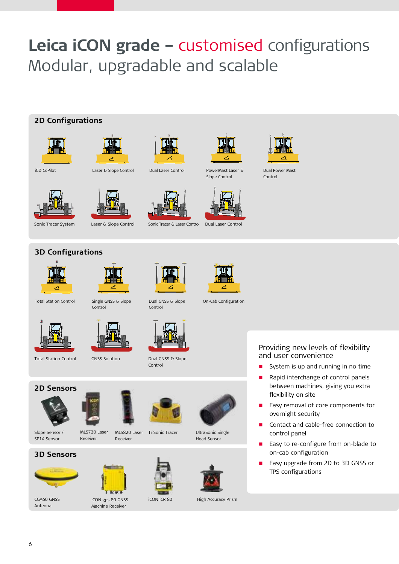# **Leica iCON grade –** customised configurations Modular, upgradable and scalable

### **2D Configurations**





Laser & Slope Control Dual Laser Control





Slope Control PowerMast Laser & Dual Power Mast



Control





Sonic Tracer System Laser & Slope Control Sonic Tracer & Laser Control Dual Laser Control





**3D Configurations**







Total Station Control Dual GNSS & Slope Single GNSS & Slope Control





Total Station Control

**2D Sensors**



Control

GNSS Solution

Dual GNSS & Slope Control



UltraSonic Single Head Sensor



CGA60 GNSS CON gps 80 GNSS CON iCR 80 High Accuracy Prism

### Providing new levels of flexibility and user convenience

- System is up and running in no time
- Rapid interchange of control panels between machines, giving you extra flexibility on site
- Easy removal of core components for overnight security
- Contact and cable-free connection to control panel
- Easy to re-configure from on-blade to on-cab configuration
- Easy upgrade from 2D to 3D GNSS or TPS configurations

Slope Sensor / SP14 Sensor

Antenna



MLS720 Laser



iCON gps 80 GNSS Machine Receiver

Receiver

MLS820 Laser



TriSonic Tracer

iCON iCR 80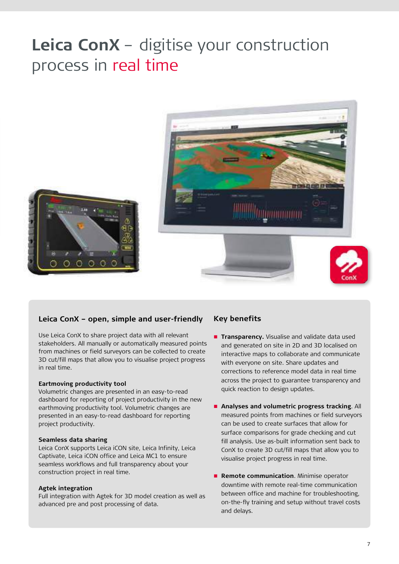# **Leica ConX** – digitise your construction process in real time



### **Leica ConX – open, simple and user-friendly**

Use Leica ConX to share project data with all relevant stakeholders. All manually or automatically measured points from machines or field surveyors can be collected to create 3D cut/fill maps that allow you to visualise project progress in real time.

#### **Eartmoving productivity tool**

Volumetric changes are presented in an easy-to-read dashboard for reporting of project productivity in the new earthmoving productivity tool. Volumetric changes are presented in an easy-to-read dashboard for reporting project productivity.

#### **Seamless data sharing**

Leica ConX supports Leica iCON site, Leica Infinity, Leica Captivate, Leica iCON office and Leica MC1 to ensure seamless workflows and full transparency about your construction project in real time.

### **Agtek integration**

Full integration with Agtek for 3D model creation as well as advanced pre and post processing of data.

### **Key benefits**

- **Transparency.** Visualise and validate data used and generated on site in 2D and 3D localised on interactive maps to collaborate and communicate with everyone on site. Share updates and corrections to reference model data in real time across the project to guarantee transparency and quick reaction to design updates.
- **Analyses and volumetric progress tracking**. All measured points from machines or field surveyors can be used to create surfaces that allow for surface comparisons for grade checking and cut fill analysis. Use as-built information sent back to ConX to create 3D cut/fill maps that allow you to visualise project progress in real time.
- **Remote communication**. Minimise operator downtime with remote real-time communication between office and machine for troubleshooting, on-the-fly training and setup without travel costs and delays.